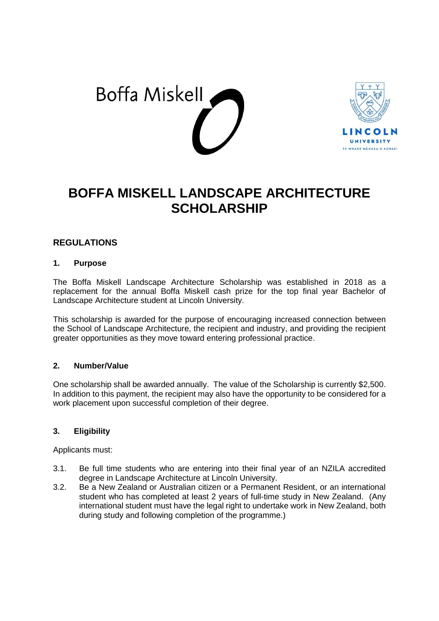



# **BOFFA MISKELL LANDSCAPE ARCHITECTURE SCHOLARSHIP**

## **REGULATIONS**

#### **1. Purpose**

The Boffa Miskell Landscape Architecture Scholarship was established in 2018 as a replacement for the annual Boffa Miskell cash prize for the top final year Bachelor of Landscape Architecture student at Lincoln University.

This scholarship is awarded for the purpose of encouraging increased connection between the School of Landscape Architecture, the recipient and industry, and providing the recipient greater opportunities as they move toward entering professional practice.

#### **2. Number/Value**

One scholarship shall be awarded annually. The value of the Scholarship is currently \$2,500. In addition to this payment, the recipient may also have the opportunity to be considered for a work placement upon successful completion of their degree.

## **3. Eligibility**

Applicants must:

- 3.1. Be full time students who are entering into their final year of an NZILA accredited degree in Landscape Architecture at Lincoln University.
- 3.2. Be a New Zealand or Australian citizen or a Permanent Resident, or an international student who has completed at least 2 years of full-time study in New Zealand. (Any international student must have the legal right to undertake work in New Zealand, both during study and following completion of the programme.)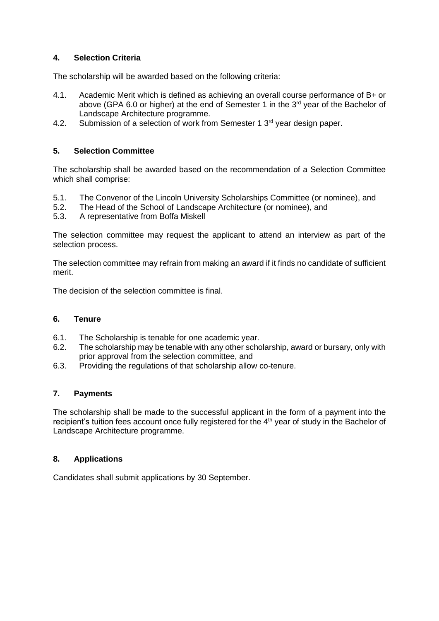## **4. Selection Criteria**

The scholarship will be awarded based on the following criteria:

- 4.1. Academic Merit which is defined as achieving an overall course performance of B+ or above (GPA 6.0 or higher) at the end of Semester 1 in the 3<sup>rd</sup> year of the Bachelor of Landscape Architecture programme.
- 4.2. Submission of a selection of work from Semester 1 3<sup>rd</sup> year design paper.

#### **5. Selection Committee**

The scholarship shall be awarded based on the recommendation of a Selection Committee which shall comprise:

- 5.1. The Convenor of the Lincoln University Scholarships Committee (or nominee), and
- 5.2. The Head of the School of Landscape Architecture (or nominee), and 5.3. A representative from Boffa Miskell
- 5.3. A representative from Boffa Miskell

The selection committee may request the applicant to attend an interview as part of the selection process.

The selection committee may refrain from making an award if it finds no candidate of sufficient merit.

The decision of the selection committee is final.

#### **6. Tenure**

- 6.1. The Scholarship is tenable for one academic year.
- 6.2. The scholarship may be tenable with any other scholarship, award or bursary, only with prior approval from the selection committee, and
- 6.3. Providing the regulations of that scholarship allow co-tenure.

#### **7. Payments**

The scholarship shall be made to the successful applicant in the form of a payment into the recipient's tuition fees account once fully registered for the 4<sup>th</sup> year of study in the Bachelor of Landscape Architecture programme.

#### **8. Applications**

Candidates shall submit applications by 30 September.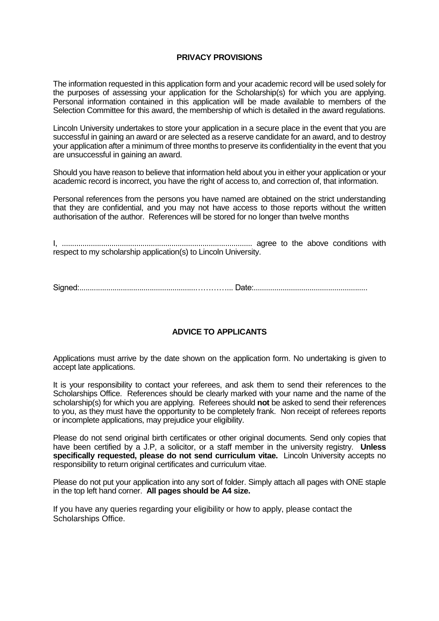#### **PRIVACY PROVISIONS**

The information requested in this application form and your academic record will be used solely for the purposes of assessing your application for the Scholarship(s) for which you are applying. Personal information contained in this application will be made available to members of the Selection Committee for this award, the membership of which is detailed in the award regulations.

Lincoln University undertakes to store your application in a secure place in the event that you are successful in gaining an award or are selected as a reserve candidate for an award, and to destroy your application after a minimum of three months to preserve its confidentiality in the event that you are unsuccessful in gaining an award.

Should you have reason to believe that information held about you in either your application or your academic record is incorrect, you have the right of access to, and correction of, that information.

Personal references from the persons you have named are obtained on the strict understanding that they are confidential, and you may not have access to those reports without the written authorisation of the author. References will be stored for no longer than twelve months

I, ............................................................................................ agree to the above conditions with respect to my scholarship application(s) to Lincoln University.

Signed:........................................................…………... Date:.......................................................

#### **ADVICE TO APPLICANTS**

Applications must arrive by the date shown on the application form. No undertaking is given to accept late applications.

It is your responsibility to contact your referees, and ask them to send their references to the Scholarships Office. References should be clearly marked with your name and the name of the scholarship(s) for which you are applying. Referees should **not** be asked to send their references to you, as they must have the opportunity to be completely frank. Non receipt of referees reports or incomplete applications, may prejudice your eligibility.

Please do not send original birth certificates or other original documents. Send only copies that have been certified by a J.P, a solicitor, or a staff member in the university registry. **Unless specifically requested, please do not send curriculum vitae.** Lincoln University accepts no responsibility to return original certificates and curriculum vitae.

Please do not put your application into any sort of folder. Simply attach all pages with ONE staple in the top left hand corner. **All pages should be A4 size.**

If you have any queries regarding your eligibility or how to apply, please contact the Scholarships Office.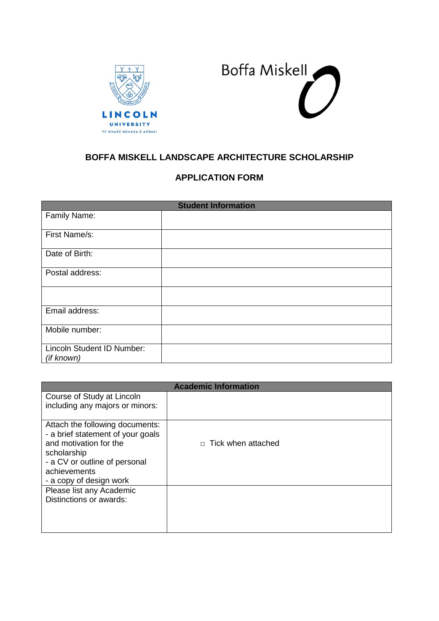



# **BOFFA MISKELL LANDSCAPE ARCHITECTURE SCHOLARSHIP**

# **APPLICATION FORM**

| <b>Student Information</b>               |  |  |
|------------------------------------------|--|--|
| Family Name:                             |  |  |
| First Name/s:                            |  |  |
| Date of Birth:                           |  |  |
| Postal address:                          |  |  |
|                                          |  |  |
| Email address:                           |  |  |
| Mobile number:                           |  |  |
| Lincoln Student ID Number:<br>(if known) |  |  |

| <b>Academic Information</b>                                   |                           |  |
|---------------------------------------------------------------|---------------------------|--|
| Course of Study at Lincoln<br>including any majors or minors: |                           |  |
|                                                               |                           |  |
| Attach the following documents:                               |                           |  |
| - a brief statement of your goals                             |                           |  |
| and motivation for the                                        | $\Box$ Tick when attached |  |
| scholarship                                                   |                           |  |
| - a CV or outline of personal<br>achievements                 |                           |  |
| - a copy of design work                                       |                           |  |
| Please list any Academic                                      |                           |  |
| Distinctions or awards:                                       |                           |  |
|                                                               |                           |  |
|                                                               |                           |  |
|                                                               |                           |  |